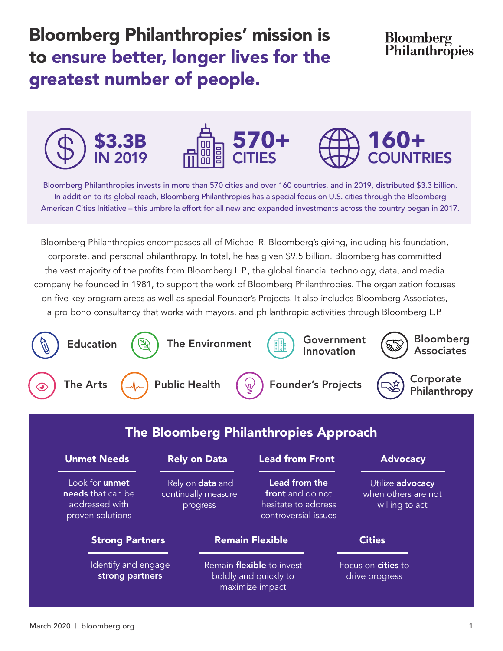Bloomberg Philanthropies' mission is to ensure better, longer lives for the greatest number of people.

### Bloomberg Philanthropies







Bloomberg Philanthropies invests in more than 570 cities and over 160 countries, and in 2019, distributed \$3.3 billion. In addition to its global reach, Bloomberg Philanthropies has a special focus on U.S. cities through the Bloomberg American Cities Initiative – this umbrella effort for all new and expanded investments across the country began in 2017.

Bloomberg Philanthropies encompasses all of Michael R. Bloomberg's giving, including his foundation, corporate, and personal philanthropy. In total, he has given \$9.5 billion. Bloomberg has committed the vast majority of the profits from Bloomberg L.P., the global financial technology, data, and media company he founded in 1981, to support the work of Bloomberg Philanthropies. The organization focuses on five key program areas as well as special Founder's Projects. It also includes Bloomberg Associates, a pro bono consultancy that works with mayors, and philanthropic activities through Bloomberg L.P.



| <b>Unmet Needs</b>                                                        | <b>Rely on Data</b>                                        | <b>Lead from Front</b>                                                           | <b>Advocacy</b>                                           |
|---------------------------------------------------------------------------|------------------------------------------------------------|----------------------------------------------------------------------------------|-----------------------------------------------------------|
| Look for unmet<br>needs that can be<br>addressed with<br>proven solutions | Rely on <b>data</b> and<br>continually measure<br>progress | Lead from the<br>front and do not<br>hesitate to address<br>controversial issues | Utilize advocacy<br>when others are not<br>willing to act |
| <b>Strong Partners</b>                                                    |                                                            | <b>Remain Flexible</b>                                                           | <b>Cities</b>                                             |
| Identify and engage<br>strong partners                                    |                                                            | Remain <b>flexible</b> to invest<br>boldly and quickly to<br>maximize impact     | Focus on cities to<br>drive progress                      |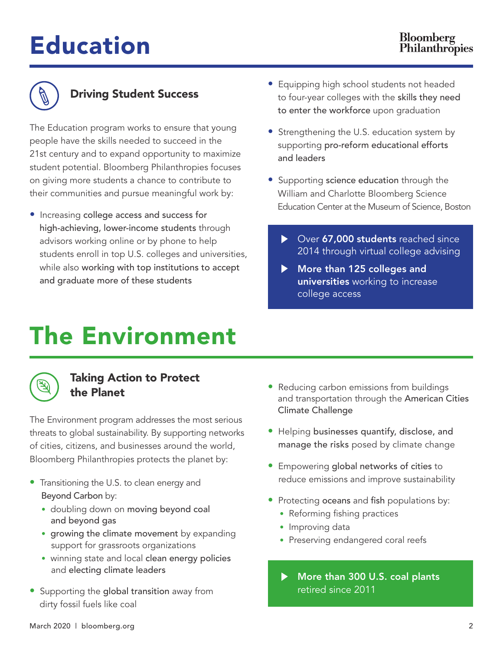# Education



### Driving Student Success

The Education program works to ensure that young people have the skills needed to succeed in the 21st century and to expand opportunity to maximize student potential. Bloomberg Philanthropies focuses on giving more students a chance to contribute to their communities and pursue meaningful work by:

• Increasing college access and success for high-achieving, lower-income students through advisors working online or by phone to help students enroll in top U.S. colleges and universities, while also working with top institutions to accept and graduate more of these students

- Equipping high school students not headed to four-year colleges with the skills they need to enter the workforce upon graduation
- Strengthening the U.S. education system by supporting pro-reform educational efforts and leaders
- Supporting science education through the William and Charlotte Bloomberg Science Education Center at the Museum of Science, Boston
	- ▶ Over 67,000 students reached since 2014 through virtual college advising
	- More than 125 colleges and universities working to increase college access

### The Environment



#### Taking Action to Protect the Planet

The Environment program addresses the most serious threats to global sustainability. By supporting networks of cities, citizens, and businesses around the world, Bloomberg Philanthropies protects the planet by:

- Transitioning the U.S. to clean energy and Beyond Carbon by:
	- doubling down on moving beyond coal and beyond gas
	- growing the climate movement by expanding support for grassroots organizations
	- winning state and local clean energy policies and electing climate leaders
- Supporting the global transition away from dirty fossil fuels like coal
- Reducing carbon emissions from buildings and transportation through the American Cities Climate Challenge
- Helping businesses quantify, disclose, and manage the risks posed by climate change
- Empowering global networks of cities to reduce emissions and improve sustainability
- Protecting oceans and fish populations by:
	- Reforming fishing practices
	- Improving data
	- Preserving endangered coral reefs
	- More than 300 U.S. coal plants retired since 2011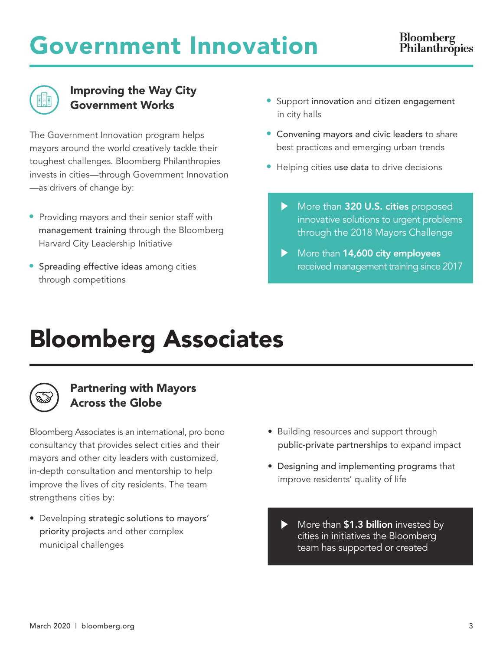## Government Innovation



#### Improving the Way City Government Works

The Government Innovation program helps mayors around the world creatively tackle their toughest challenges. Bloomberg Philanthropies invests in cities—through Government Innovation —as drivers of change by:

- Providing mayors and their senior staff with management training through the Bloomberg Harvard City Leadership Initiative
- Spreading effective ideas among cities through competitions
- Support innovation and citizen engagement in city halls
- Convening mayors and civic leaders to share best practices and emerging urban trends
- Helping cities use data to drive decisions
	- More than 320 U.S. cities proposed innovative solutions to urgent problems through the 2018 Mayors Challenge
	- More than 14,600 city employees received management training since 2017

### Bloomberg Associates



### Partnering with Mayors Across the Globe

Bloomberg Associates is an international, pro bono consultancy that provides select cities and their mayors and other city leaders with customized, in-depth consultation and mentorship to help improve the lives of city residents. The team strengthens cities by:

• Developing strategic solutions to mayors' priority projects and other complex municipal challenges

- Building resources and support through public-private partnerships to expand impact
- Designing and implementing programs that improve residents' quality of life
	- More than \$1.3 billion invested by cities in initiatives the Bloomberg team has supported or created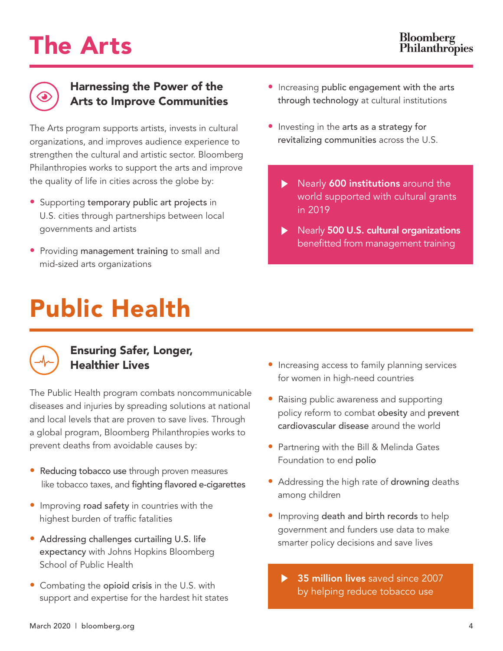## The Arts



#### Harnessing the Power of the Arts to Improve Communities

The Arts program supports artists, invests in cultural organizations, and improves audience experience to strengthen the cultural and artistic sector. Bloomberg Philanthropies works to support the arts and improve the quality of life in cities across the globe by:

- Supporting temporary public art projects in U.S. cities through partnerships between local governments and artists
- Providing management training to small and mid-sized arts organizations

# Public Health



### Ensuring Safer, Longer, Healthier Lives

The Public Health program combats noncommunicable diseases and injuries by spreading solutions at national and local levels that are proven to save lives. Through a global program, Bloomberg Philanthropies works to prevent deaths from avoidable causes by:

- Reducing tobacco use through proven measures like tobacco taxes, and fighting flavored e-cigarettes
- Improving road safety in countries with the highest burden of traffic fatalities
- Addressing challenges curtailing U.S. life expectancy with Johns Hopkins Bloomberg School of Public Health
- Combating the opioid crisis in the U.S. with support and expertise for the hardest hit states
- Increasing public engagement with the arts through technology at cultural institutions
- Investing in the arts as a strategy for revitalizing communities across the U.S.
	- Nearly 600 institutions around the ▶ world supported with cultural grants in 2019
	- Nearly 500 U.S. cultural organizations  $\blacktriangleright$ benefitted from management training

- Increasing access to family planning services for women in high-need countries
- Raising public awareness and supporting policy reform to combat obesity and prevent cardiovascular disease around the world
- Partnering with the Bill & Melinda Gates Foundation to end polio
- Addressing the high rate of drowning deaths among children
- Improving death and birth records to help government and funders use data to make smarter policy decisions and save lives
	- 35 million lives saved since 2007  $\blacktriangleright$ by helping reduce tobacco use